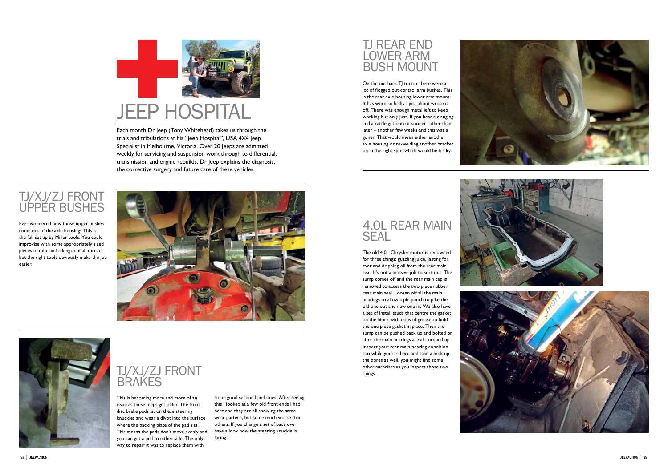Each month Dr Jeep (Tony Whitehead) takes us through the trials and tribulations at his "Jeep Hospital", USA 4X4 Jeep Specialist in Melbourne, Victoria. Over 20 Jeeps are admitted weekly for servicing and suspension work through to differential, transmission and engine rebuilds. Dr Jeep explains the diagnosis, the corrective surgery and future care of these vehicles.

#### **TJ REAR END** LOWER ARM bus h mount



## TJ/XJ/ZJ front brakes

This is becoming more and more of an issue as these leeps get older. The front disc brake pads sit on these steering knuckles and wear a divot into the surface where the backing plate of the pad sits. This means the pads don't move evenly and you can get a pull to either side. The only way to repair it was to replace them with

On the out back TJ tourer there were a lot of flogged out control arm bushes. This is the rear axle housing lower arm mount. It has worn so badly I just about wrote it off. There was enough metal left to keep working but only just. If you hear a clanging and a rattle get onto it sooner rather than later – another few weeks and this was a goner. That would mean either another axle housing or re-welding another bracket on in the right spot which would be tricky.

### 4.0 L rear main **SEAL**



Ever wondered how those upper bushes come out of the axle housing? This is the full set up by Miller tools. You could improvise with some appropriately sized pieces of tube and a length of all thread but the right tools obviously make the job easier.





The old 4.0L Chrysler motor is renowned for three things; guzzling juice, lasting for ever and dripping oil from the rear main seal. It's not a massive job to sort out. The sump comes off and the rear main cap is removed to access the two piece rubber rear main seal. Loosen off all the main bearings to allow a pin punch to pike the old one out and new one in. We also have a set of install studs that centre the gasket on the block with dobs of grease to hold the one piece gasket in place. Then the sump can be pushed back up and bolted on after the main bearings are all torqued up. Inspect your rear main bearing condition too while you're there and take a look up the bores as well, you might find some other surprises as you inspect those two things.











some good second hand ones. After seeing this I looked at a few old front ends I had here and they are all showing the same wear pattern, but some much worse than others. If you change a set of pads over have a look how the steering knuckle is faring.